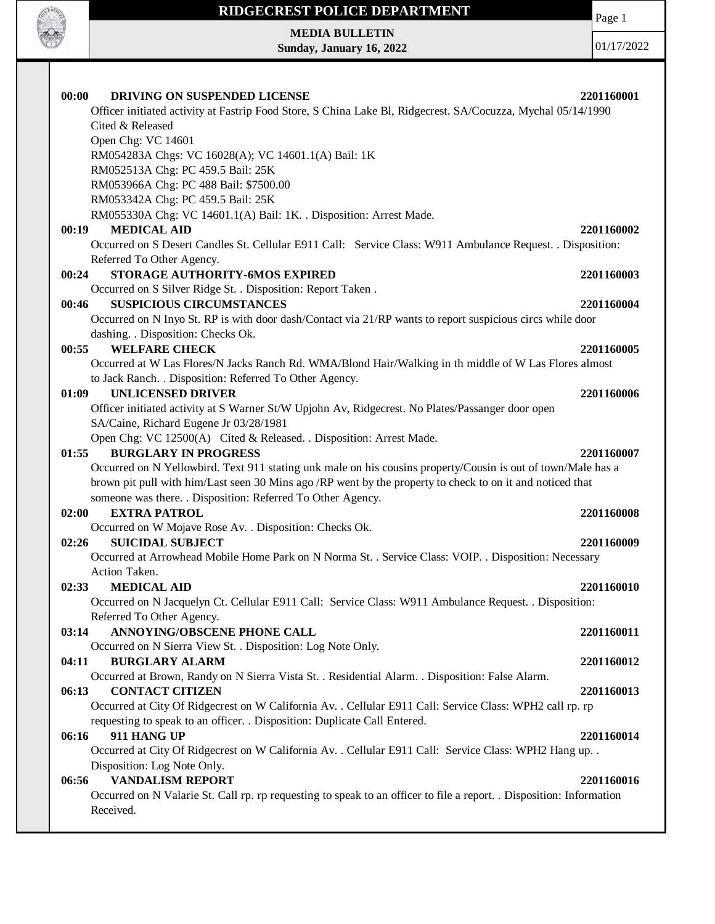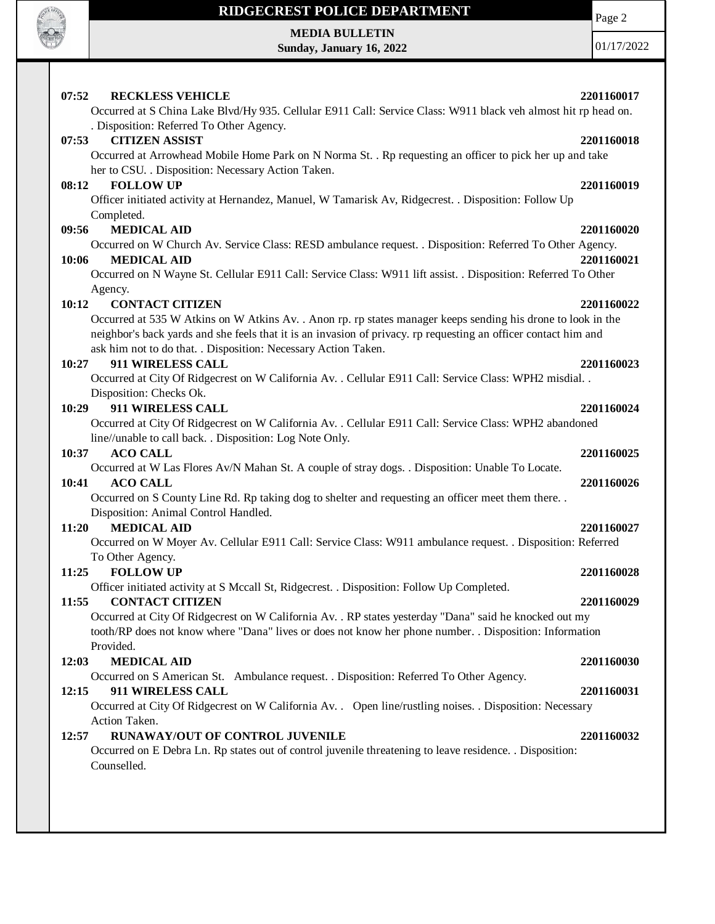

**MEDIA BULLETIN Sunday, January 16, 2022** Page 2

01/17/2022

| 07:52<br><b>RECKLESS VEHICLE</b>                                                                                | 2201160017 |
|-----------------------------------------------------------------------------------------------------------------|------------|
| Occurred at S China Lake Blvd/Hy 935. Cellular E911 Call: Service Class: W911 black veh almost hit rp head on.  |            |
| . Disposition: Referred To Other Agency.                                                                        |            |
| <b>CITIZEN ASSIST</b><br>07:53                                                                                  | 2201160018 |
| Occurred at Arrowhead Mobile Home Park on N Norma St. . Rp requesting an officer to pick her up and take        |            |
| her to CSU. . Disposition: Necessary Action Taken.                                                              |            |
| <b>FOLLOW UP</b><br>08:12                                                                                       | 2201160019 |
| Officer initiated activity at Hernandez, Manuel, W Tamarisk Av, Ridgecrest. . Disposition: Follow Up            |            |
| Completed.                                                                                                      |            |
| <b>MEDICAL AID</b><br>09:56                                                                                     | 2201160020 |
| Occurred on W Church Av. Service Class: RESD ambulance request. . Disposition: Referred To Other Agency.        |            |
| <b>MEDICAL AID</b><br>10:06                                                                                     | 2201160021 |
| Occurred on N Wayne St. Cellular E911 Call: Service Class: W911 lift assist. . Disposition: Referred To Other   |            |
| Agency.                                                                                                         |            |
| <b>CONTACT CITIZEN</b><br>10:12                                                                                 | 2201160022 |
| Occurred at 535 W Atkins on W Atkins Av. . Anon rp. rp states manager keeps sending his drone to look in the    |            |
| neighbor's back yards and she feels that it is an invasion of privacy. rp requesting an officer contact him and |            |
| ask him not to do that. . Disposition: Necessary Action Taken.                                                  |            |
| 911 WIRELESS CALL<br>10:27                                                                                      | 2201160023 |
| Occurred at City Of Ridgecrest on W California Av. . Cellular E911 Call: Service Class: WPH2 misdial. .         |            |
| Disposition: Checks Ok.                                                                                         |            |
| 911 WIRELESS CALL<br>10:29                                                                                      | 2201160024 |
| Occurred at City Of Ridgecrest on W California Av. . Cellular E911 Call: Service Class: WPH2 abandoned          |            |
| line//unable to call back. . Disposition: Log Note Only.                                                        |            |
| <b>ACO CALL</b><br>10:37                                                                                        | 2201160025 |
| Occurred at W Las Flores Av/N Mahan St. A couple of stray dogs. . Disposition: Unable To Locate.                |            |
| 10:41<br><b>ACO CALL</b>                                                                                        | 2201160026 |
| Occurred on S County Line Rd. Rp taking dog to shelter and requesting an officer meet them there. .             |            |
| Disposition: Animal Control Handled.                                                                            |            |
| <b>MEDICAL AID</b><br>11:20                                                                                     | 2201160027 |
| Occurred on W Moyer Av. Cellular E911 Call: Service Class: W911 ambulance request. . Disposition: Referred      |            |
| To Other Agency.                                                                                                |            |
| 11:25<br><b>FOLLOW UP</b>                                                                                       | 2201160028 |
| Officer initiated activity at S Mccall St, Ridgecrest. . Disposition: Follow Up Completed.                      |            |
| 11:55<br><b>CONTACT CITIZEN</b>                                                                                 | 2201160029 |
| Occurred at City Of Ridgecrest on W California Av. . RP states yesterday "Dana" said he knocked out my          |            |
| tooth/RP does not know where "Dana" lives or does not know her phone number. . Disposition: Information         |            |
| Provided.                                                                                                       |            |
| <b>MEDICAL AID</b><br>12:03                                                                                     | 2201160030 |
| Occurred on S American St. Ambulance request. . Disposition: Referred To Other Agency.                          |            |
| 12:15<br>911 WIRELESS CALL                                                                                      | 2201160031 |
| Occurred at City Of Ridgecrest on W California Av. . Open line/rustling noises. . Disposition: Necessary        |            |
| Action Taken.                                                                                                   |            |
| 12:57<br>RUNAWAY/OUT OF CONTROL JUVENILE                                                                        | 2201160032 |
| Occurred on E Debra Ln. Rp states out of control juvenile threatening to leave residence. . Disposition:        |            |
| Counselled.                                                                                                     |            |
|                                                                                                                 |            |
|                                                                                                                 |            |
|                                                                                                                 |            |
|                                                                                                                 |            |
|                                                                                                                 |            |
|                                                                                                                 |            |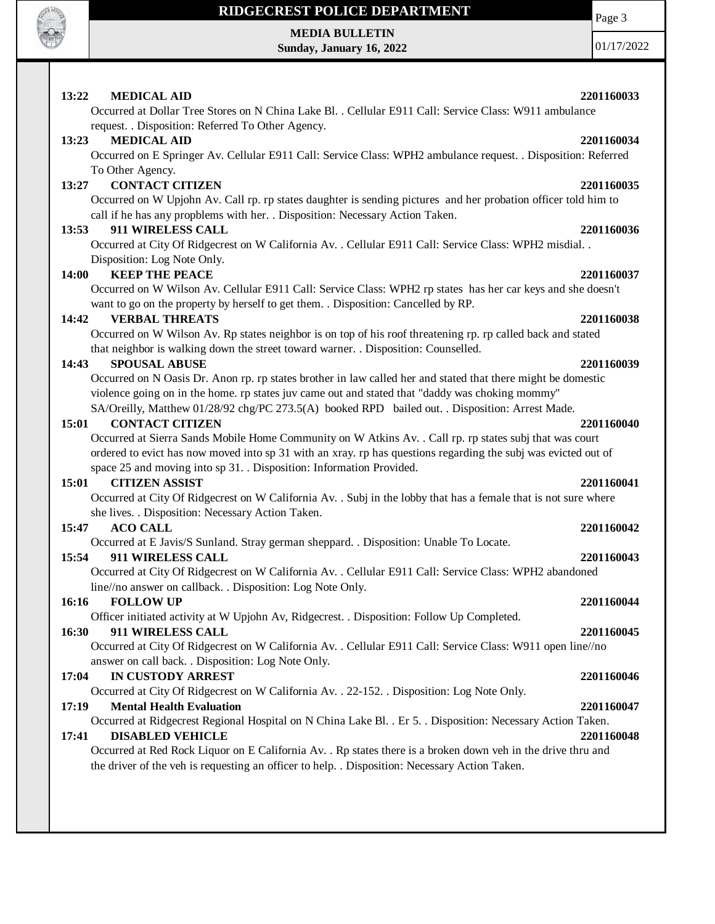

# **MEDIA BULLETIN**

**Sunday, January 16, 2022**

01/17/2022

| 13:22 | <b>MEDICAL AID</b><br>Occurred at Dollar Tree Stores on N China Lake Bl. . Cellular E911 Call: Service Class: W911 ambulance                                                                                              | 2201160033 |
|-------|---------------------------------------------------------------------------------------------------------------------------------------------------------------------------------------------------------------------------|------------|
|       | request. . Disposition: Referred To Other Agency.                                                                                                                                                                         |            |
| 13:23 | <b>MEDICAL AID</b>                                                                                                                                                                                                        | 2201160034 |
|       | Occurred on E Springer Av. Cellular E911 Call: Service Class: WPH2 ambulance request. . Disposition: Referred                                                                                                             |            |
|       | To Other Agency.                                                                                                                                                                                                          |            |
| 13:27 | <b>CONTACT CITIZEN</b>                                                                                                                                                                                                    | 2201160035 |
|       | Occurred on W Upjohn Av. Call rp. rp states daughter is sending pictures and her probation officer told him to                                                                                                            |            |
|       | call if he has any propblems with her. . Disposition: Necessary Action Taken.                                                                                                                                             |            |
| 13:53 | 911 WIRELESS CALL                                                                                                                                                                                                         | 2201160036 |
|       | Occurred at City Of Ridgecrest on W California Av. . Cellular E911 Call: Service Class: WPH2 misdial. .                                                                                                                   |            |
|       | Disposition: Log Note Only.                                                                                                                                                                                               |            |
| 14:00 | <b>KEEP THE PEACE</b>                                                                                                                                                                                                     | 2201160037 |
|       | Occurred on W Wilson Av. Cellular E911 Call: Service Class: WPH2 rp states has her car keys and she doesn't                                                                                                               |            |
|       | want to go on the property by herself to get them. . Disposition: Cancelled by RP.                                                                                                                                        |            |
| 14:42 | <b>VERBAL THREATS</b>                                                                                                                                                                                                     | 2201160038 |
|       | Occurred on W Wilson Av. Rp states neighbor is on top of his roof threatening rp. rp called back and stated                                                                                                               |            |
|       | that neighbor is walking down the street toward warner. . Disposition: Counselled.                                                                                                                                        |            |
| 14:43 | <b>SPOUSAL ABUSE</b>                                                                                                                                                                                                      | 2201160039 |
|       | Occurred on N Oasis Dr. Anon rp. rp states brother in law called her and stated that there might be domestic                                                                                                              |            |
|       | violence going on in the home. rp states juv came out and stated that "daddy was choking mommy"                                                                                                                           |            |
|       | SA/Oreilly, Matthew 01/28/92 chg/PC 273.5(A) booked RPD bailed out. . Disposition: Arrest Made.                                                                                                                           |            |
| 15:01 | <b>CONTACT CITIZEN</b>                                                                                                                                                                                                    | 2201160040 |
|       | Occurred at Sierra Sands Mobile Home Community on W Atkins Av. . Call rp. rp states subj that was court<br>ordered to evict has now moved into sp 31 with an xray. rp has questions regarding the subj was evicted out of |            |
|       | space 25 and moving into sp 31. . Disposition: Information Provided.                                                                                                                                                      |            |
| 15:01 | <b>CITIZEN ASSIST</b>                                                                                                                                                                                                     | 2201160041 |
|       | Occurred at City Of Ridgecrest on W California Av. . Subj in the lobby that has a female that is not sure where                                                                                                           |            |
|       | she lives. . Disposition: Necessary Action Taken.                                                                                                                                                                         |            |
| 15:47 | <b>ACO CALL</b>                                                                                                                                                                                                           | 2201160042 |
|       | Occurred at E Javis/S Sunland. Stray german sheppard. . Disposition: Unable To Locate.                                                                                                                                    |            |
| 15:54 | 911 WIRELESS CALL                                                                                                                                                                                                         | 2201160043 |
|       | Occurred at City Of Ridgecrest on W California Av. . Cellular E911 Call: Service Class: WPH2 abandoned                                                                                                                    |            |
|       | line//no answer on callback. . Disposition: Log Note Only.                                                                                                                                                                |            |
| 16:16 | <b>FOLLOW UP</b>                                                                                                                                                                                                          | 2201160044 |
|       | Officer initiated activity at W Upjohn Av, Ridgecrest. . Disposition: Follow Up Completed.                                                                                                                                |            |
| 16:30 | 911 WIRELESS CALL                                                                                                                                                                                                         | 2201160045 |
|       | Occurred at City Of Ridgecrest on W California Av. . Cellular E911 Call: Service Class: W911 open line//no                                                                                                                |            |
|       | answer on call back. . Disposition: Log Note Only.                                                                                                                                                                        |            |
| 17:04 | <b>IN CUSTODY ARREST</b>                                                                                                                                                                                                  | 2201160046 |
|       | Occurred at City Of Ridgecrest on W California Av. . 22-152. . Disposition: Log Note Only.                                                                                                                                |            |
| 17:19 | <b>Mental Health Evaluation</b>                                                                                                                                                                                           | 2201160047 |
|       | Occurred at Ridgecrest Regional Hospital on N China Lake Bl. . Er 5. . Disposition: Necessary Action Taken.                                                                                                               |            |
| 17:41 | <b>DISABLED VEHICLE</b>                                                                                                                                                                                                   | 2201160048 |
|       | Occurred at Red Rock Liquor on E California Av. . Rp states there is a broken down veh in the drive thru and                                                                                                              |            |
|       | the driver of the veh is requesting an officer to help. . Disposition: Necessary Action Taken.                                                                                                                            |            |
|       |                                                                                                                                                                                                                           |            |
|       |                                                                                                                                                                                                                           |            |
|       |                                                                                                                                                                                                                           |            |
|       |                                                                                                                                                                                                                           |            |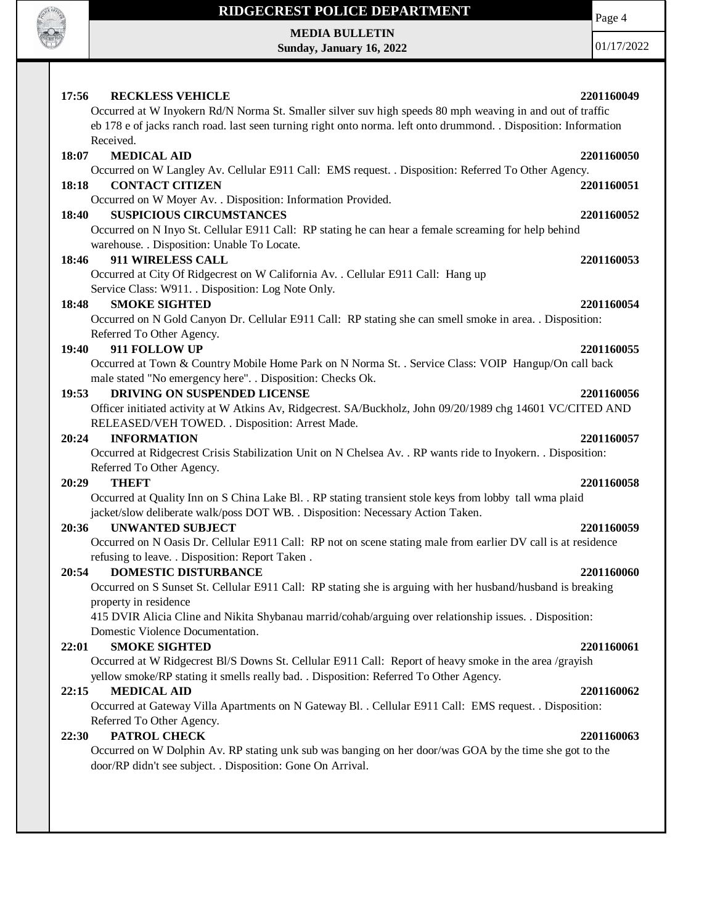

**MEDIA BULLETIN Sunday, January 16, 2022** Page 4

01/17/2022

| 17:56<br><b>RECKLESS VEHICLE</b>                                                                                                                                                                                              | 2201160049 |
|-------------------------------------------------------------------------------------------------------------------------------------------------------------------------------------------------------------------------------|------------|
| Occurred at W Inyokern Rd/N Norma St. Smaller silver suv high speeds 80 mph weaving in and out of traffic<br>eb 178 e of jacks ranch road. last seen turning right onto norma. left onto drummond. . Disposition: Information |            |
| Received.                                                                                                                                                                                                                     |            |
| <b>MEDICAL AID</b><br>18:07                                                                                                                                                                                                   | 2201160050 |
| Occurred on W Langley Av. Cellular E911 Call: EMS request. . Disposition: Referred To Other Agency.                                                                                                                           |            |
| <b>CONTACT CITIZEN</b><br>18:18                                                                                                                                                                                               | 2201160051 |
| Occurred on W Moyer Av. . Disposition: Information Provided.                                                                                                                                                                  |            |
| <b>SUSPICIOUS CIRCUMSTANCES</b><br>18:40                                                                                                                                                                                      | 2201160052 |
| Occurred on N Inyo St. Cellular E911 Call: RP stating he can hear a female screaming for help behind                                                                                                                          |            |
| warehouse. . Disposition: Unable To Locate.                                                                                                                                                                                   |            |
| 911 WIRELESS CALL<br>18:46                                                                                                                                                                                                    | 2201160053 |
| Occurred at City Of Ridgecrest on W California Av. . Cellular E911 Call: Hang up                                                                                                                                              |            |
| Service Class: W911. . Disposition: Log Note Only.                                                                                                                                                                            |            |
| <b>SMOKE SIGHTED</b><br>18:48                                                                                                                                                                                                 | 2201160054 |
| Occurred on N Gold Canyon Dr. Cellular E911 Call: RP stating she can smell smoke in area. . Disposition:                                                                                                                      |            |
| Referred To Other Agency.                                                                                                                                                                                                     |            |
| 19:40<br>911 FOLLOW UP                                                                                                                                                                                                        | 2201160055 |
| Occurred at Town & Country Mobile Home Park on N Norma St. . Service Class: VOIP Hangup/On call back                                                                                                                          |            |
| male stated "No emergency here". . Disposition: Checks Ok.                                                                                                                                                                    |            |
| 19:53<br>DRIVING ON SUSPENDED LICENSE                                                                                                                                                                                         | 2201160056 |
| Officer initiated activity at W Atkins Av, Ridgecrest. SA/Buckholz, John 09/20/1989 chg 14601 VC/CITED AND                                                                                                                    |            |
| RELEASED/VEH TOWED. . Disposition: Arrest Made.                                                                                                                                                                               |            |
| <b>INFORMATION</b><br>20:24                                                                                                                                                                                                   | 2201160057 |
| Occurred at Ridgecrest Crisis Stabilization Unit on N Chelsea Av. . RP wants ride to Inyokern. . Disposition:                                                                                                                 |            |
| Referred To Other Agency.                                                                                                                                                                                                     |            |
| 20:29<br><b>THEFT</b>                                                                                                                                                                                                         | 2201160058 |
| Occurred at Quality Inn on S China Lake Bl. . RP stating transient stole keys from lobby tall wma plaid                                                                                                                       |            |
| jacket/slow deliberate walk/poss DOT WB. . Disposition: Necessary Action Taken.                                                                                                                                               |            |
| 20:36<br><b>UNWANTED SUBJECT</b>                                                                                                                                                                                              | 2201160059 |
| Occurred on N Oasis Dr. Cellular E911 Call: RP not on scene stating male from earlier DV call is at residence                                                                                                                 |            |
| refusing to leave. . Disposition: Report Taken.                                                                                                                                                                               |            |
| 20:54<br><b>DOMESTIC DISTURBANCE</b>                                                                                                                                                                                          | 2201160060 |
| Occurred on S Sunset St. Cellular E911 Call: RP stating she is arguing with her husband/husband is breaking                                                                                                                   |            |
| property in residence                                                                                                                                                                                                         |            |
| 415 DVIR Alicia Cline and Nikita Shybanau marrid/cohab/arguing over relationship issues. . Disposition:                                                                                                                       |            |
| Domestic Violence Documentation.                                                                                                                                                                                              |            |
| <b>SMOKE SIGHTED</b><br>22:01                                                                                                                                                                                                 | 2201160061 |
| Occurred at W Ridgecrest Bl/S Downs St. Cellular E911 Call: Report of heavy smoke in the area /grayish                                                                                                                        |            |
| yellow smoke/RP stating it smells really bad. . Disposition: Referred To Other Agency.                                                                                                                                        |            |
| 22:15<br><b>MEDICAL AID</b>                                                                                                                                                                                                   | 2201160062 |
| Occurred at Gateway Villa Apartments on N Gateway Bl. . Cellular E911 Call: EMS request. . Disposition:                                                                                                                       |            |
| Referred To Other Agency.                                                                                                                                                                                                     |            |
| PATROL CHECK<br>22:30                                                                                                                                                                                                         | 2201160063 |
| Occurred on W Dolphin Av. RP stating unk sub was banging on her door/was GOA by the time she got to the                                                                                                                       |            |
| door/RP didn't see subject. . Disposition: Gone On Arrival.                                                                                                                                                                   |            |
|                                                                                                                                                                                                                               |            |
|                                                                                                                                                                                                                               |            |
|                                                                                                                                                                                                                               |            |